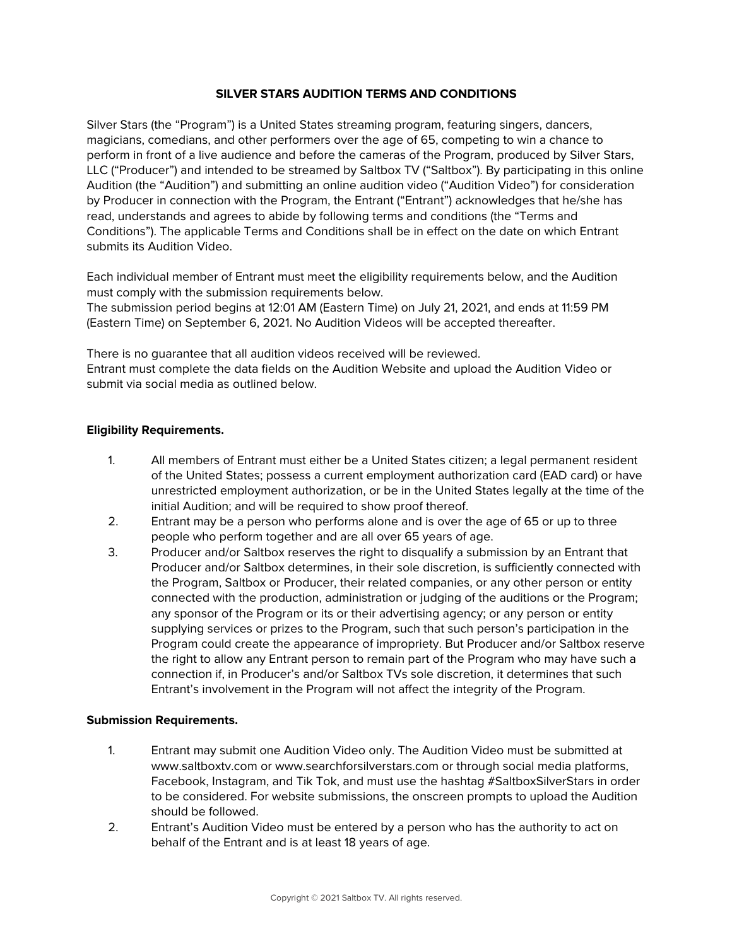### **SILVER STARS AUDITION TERMS AND CONDITIONS**

Silver Stars (the "Program") is a United States streaming program, featuring singers, dancers, magicians, comedians, and other performers over the age of 65, competing to win a chance to perform in front of a live audience and before the cameras of the Program, produced by Silver Stars, LLC ("Producer") and intended to be streamed by Saltbox TV ("Saltbox"). By participating in this online Audition (the "Audition") and submitting an online audition video ("Audition Video") for consideration by Producer in connection with the Program, the Entrant ("Entrant") acknowledges that he/she has read, understands and agrees to abide by following terms and conditions (the "Terms and Conditions"). The applicable Terms and Conditions shall be in effect on the date on which Entrant submits its Audition Video.

Each individual member of Entrant must meet the eligibility requirements below, and the Audition must comply with the submission requirements below.

The submission period begins at 12:01 AM (Eastern Time) on July 21, 2021, and ends at 11:59 PM (Eastern Time) on September 6, 2021. No Audition Videos will be accepted thereafter.

There is no guarantee that all audition videos received will be reviewed. Entrant must complete the data fields on the Audition Website and upload the Audition Video or submit via social media as outlined below.

#### **Eligibility Requirements.**

- 1. All members of Entrant must either be a United States citizen; a legal permanent resident of the United States; possess a current employment authorization card (EAD card) or have unrestricted employment authorization, or be in the United States legally at the time of the initial Audition; and will be required to show proof thereof.
- 2. Entrant may be a person who performs alone and is over the age of 65 or up to three people who perform together and are all over 65 years of age.
- 3. Producer and/or Saltbox reserves the right to disqualify a submission by an Entrant that Producer and/or Saltbox determines, in their sole discretion, is sufficiently connected with the Program, Saltbox or Producer, their related companies, or any other person or entity connected with the production, administration or judging of the auditions or the Program; any sponsor of the Program or its or their advertising agency; or any person or entity supplying services or prizes to the Program, such that such person's participation in the Program could create the appearance of impropriety. But Producer and/or Saltbox reserve the right to allow any Entrant person to remain part of the Program who may have such a connection if, in Producer's and/or Saltbox TVs sole discretion, it determines that such Entrant's involvement in the Program will not affect the integrity of the Program.

#### **Submission Requirements.**

- 1. Entrant may submit one Audition Video only. The Audition Video must be submitted at www.saltboxtv.com or www.searchforsilverstars.com or through social media platforms, Facebook, Instagram, and Tik Tok, and must use the hashtag #SaltboxSilverStars in order to be considered. For website submissions, the onscreen prompts to upload the Audition should be followed.
- 2. Entrant's Audition Video must be entered by a person who has the authority to act on behalf of the Entrant and is at least 18 years of age.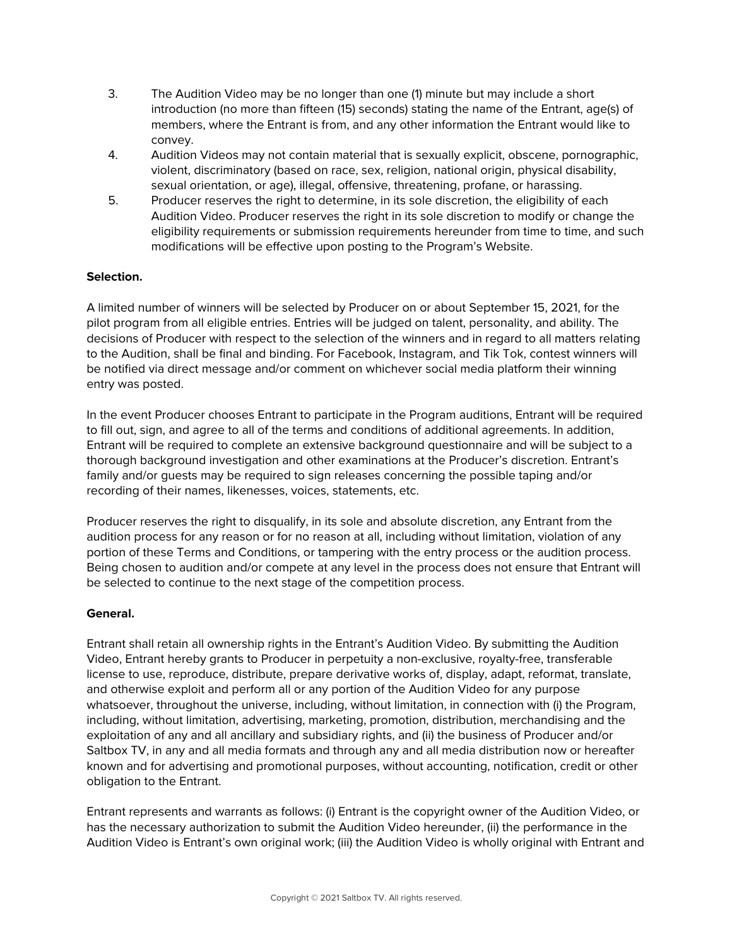- 3. The Audition Video may be no longer than one (1) minute but may include a short introduction (no more than fifteen (15) seconds) stating the name of the Entrant, age(s) of members, where the Entrant is from, and any other information the Entrant would like to convey.
- 4. Audition Videos may not contain material that is sexually explicit, obscene, pornographic, violent, discriminatory (based on race, sex, religion, national origin, physical disability, sexual orientation, or age), illegal, offensive, threatening, profane, or harassing.
- 5. Producer reserves the right to determine, in its sole discretion, the eligibility of each Audition Video. Producer reserves the right in its sole discretion to modify or change the eligibility requirements or submission requirements hereunder from time to time, and such modifications will be effective upon posting to the Program's Website.

# **Selection.**

A limited number of winners will be selected by Producer on or about September 15, 2021, for the pilot program from all eligible entries. Entries will be judged on talent, personality, and ability. The decisions of Producer with respect to the selection of the winners and in regard to all matters relating to the Audition, shall be final and binding. For Facebook, Instagram, and Tik Tok, contest winners will be notified via direct message and/or comment on whichever social media platform their winning entry was posted.

In the event Producer chooses Entrant to participate in the Program auditions, Entrant will be required to fill out, sign, and agree to all of the terms and conditions of additional agreements. In addition, Entrant will be required to complete an extensive background questionnaire and will be subject to a thorough background investigation and other examinations at the Producer's discretion. Entrant's family and/or guests may be required to sign releases concerning the possible taping and/or recording of their names, likenesses, voices, statements, etc.

Producer reserves the right to disqualify, in its sole and absolute discretion, any Entrant from the audition process for any reason or for no reason at all, including without limitation, violation of any portion of these Terms and Conditions, or tampering with the entry process or the audition process. Being chosen to audition and/or compete at any level in the process does not ensure that Entrant will be selected to continue to the next stage of the competition process.

## **General.**

Entrant shall retain all ownership rights in the Entrant's Audition Video. By submitting the Audition Video, Entrant hereby grants to Producer in perpetuity a non-exclusive, royalty-free, transferable license to use, reproduce, distribute, prepare derivative works of, display, adapt, reformat, translate, and otherwise exploit and perform all or any portion of the Audition Video for any purpose whatsoever, throughout the universe, including, without limitation, in connection with (i) the Program, including, without limitation, advertising, marketing, promotion, distribution, merchandising and the exploitation of any and all ancillary and subsidiary rights, and (ii) the business of Producer and/or Saltbox TV, in any and all media formats and through any and all media distribution now or hereafter known and for advertising and promotional purposes, without accounting, notification, credit or other obligation to the Entrant.

Entrant represents and warrants as follows: (i) Entrant is the copyright owner of the Audition Video, or has the necessary authorization to submit the Audition Video hereunder, (ii) the performance in the Audition Video is Entrant's own original work; (iii) the Audition Video is wholly original with Entrant and